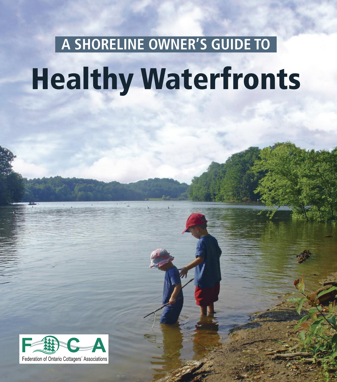# **Healthy Waterfronts A SHORELINE OWNER'S GUIDE TO**

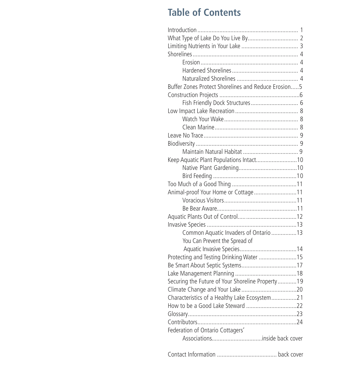# **Table of Contents**

| Buffer Zones Protect Shorelines and Reduce Erosion5 |
|-----------------------------------------------------|
|                                                     |
| Fish Friendly Dock Structures 6                     |
|                                                     |
|                                                     |
|                                                     |
|                                                     |
|                                                     |
|                                                     |
| Keep Aquatic Plant Populations Intact10             |
|                                                     |
|                                                     |
|                                                     |
| Animal-proof Your Home or Cottage11                 |
|                                                     |
|                                                     |
|                                                     |
|                                                     |
| Common Aquatic Invaders of Ontario 13               |
| You Can Prevent the Spread of                       |
|                                                     |
| Protecting and Testing Drinking Water 15            |
|                                                     |
|                                                     |
| Securing the Future of Your Shoreline Property19    |
|                                                     |
| Characteristics of a Healthy Lake Ecosystem21       |
|                                                     |
|                                                     |
|                                                     |
| Federation of Ontario Cottagers'                    |
| Associationsinside back cover                       |
|                                                     |

Contact Information ...................................... back cover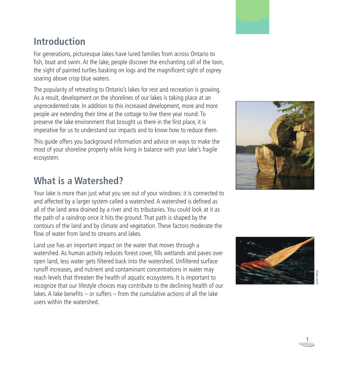# **Introduction**

For generations, picturesque lakes have lured families from across Ontario to fish, boat and swim. At the lake, people discover the enchanting call of the loon, the sight of painted turtles basking on logs and the magnificent sight of osprey soaring above crisp blue waters.

The popularity of retreating to Ontario's lakes for rest and recreation is growing. As a result, development on the shorelines of our lakes is taking place at an unprecedented rate. In addition to this increased development, more and more people are extending their time at the cottage to live there year round. To preserve the lake environment that brought us there in the first place, it is imperative for us to understand our impacts and to know how to reduce them.

This guide offers you background information and advice on ways to make the most of your shoreline property while living in balance with your lake's fragile ecosystem.

## **What is a Watershed?**

Your lake is more than just what you see out of your windows: it is connected to and affected by a larger system called a watershed. A watershed is defined as all of the land area drained by a river and its tributaries. You could look at it as the path of a raindrop once it hits the ground. That path is shaped by the contours of the land and by climate and vegetation. These factors moderate the flow of water from land to streams and lakes.

Land use has an important impact on the water that moves through a watershed. As human activity reduces forest cover, fills wetlands and paves over open land, less water gets filtered back into the watershed. Unfiltered surface runoff increases, and nutrient and contaminant concentrations in water may reach levels that threaten the health of aquatic ecosystems. It is important to recognize that our lifestyle choices may contribute to the declining health of our lakes. A lake benefits – or suffers – from the cumulative actions of all the lake users within the watershed.





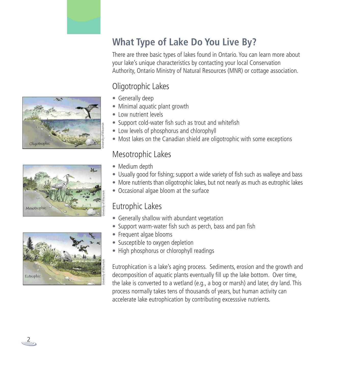





# **What Type of Lake Do You Live By?**

There are three basic types of lakes found in Ontario. You can learn more about your lake's unique characteristics by contacting your local Conservation Authority, Ontario Ministry of Natural Resources (MNR) or cottage association.

## Oligotrophic Lakes

- Generally deep
- Minimal aquatic plant growth
- Low nutrient levels
- Support cold-water fish such as trout and whitefish
- Low levels of phosphorus and chlorophyll
- Most lakes on the Canadian shield are oligotrophic with some exceptions

## Mesotrophic Lakes

- Medium depth
- Usually good for fishing; support a wide variety of fish such as walleye and bass
- More nutrients than oligotrophic lakes, but not nearly as much as eutrophic lakes
- Occasional algae bloom at the surface

## Eutrophic Lakes

- Generally shallow with abundant vegetation
- Support warm-water fish such as perch, bass and pan fish
- Frequent algae blooms
- Susceptible to oxygen depletion
- High phosphorus or chlorophyll readings

Eutrophication is a lake's aging process. Sediments, erosion and the growth and decomposition of aquatic plants eventually fill up the lake bottom. Over time, the lake is converted to a wetland (e.g., a bog or marsh) and later, dry land. This process normally takes tens of thousands of years, but human activity can accelerate lake eutrophication by contributing excesssive nutrients.

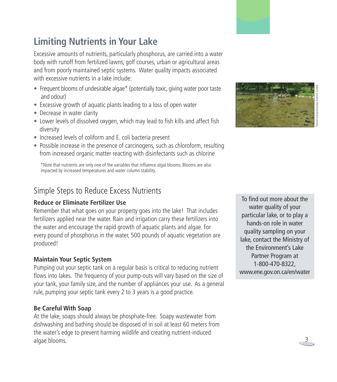# **Limiting Nutrients in Your Lake**

Excessive amounts of nutrients, particularly phosphorus, are carried into a water body with runoff from fertilized lawns, golf courses, urban or agricultural areas and from poorly maintained septic systems. Water quality impacts associated with excessive nutrients in a lake include:

- Frequent blooms of undesirable algae\* (potentially toxic, giving water poor taste and odour)
- Excessive growth of aquatic plants leading to a loss of open water
- Decrease in water clarity
- Lower levels of dissolved oxygen, which may lead to fish kills and affect fish diversity
- Increased levels of coliform and E. coli bacteria present
- Possible increase in the presence of carcinogens, such as chloroform, resulting from increased organic matter reacting with disinfectants such as chlorine

\*Note that nutrients are only one of the variables that influence algal blooms. Blooms are also impacted by increased temperatures and water column stability.

## Simple Steps to Reduce Excess Nutrients

#### **Reduce or Eliminate Fertilizer Use**

Remember that what goes on your property goes into the lake! That includes fertilizers applied near the water. Rain and irrigation carry these fertilizers into the water and encourage the rapid growth of aquatic plants and algae. For every pound of phosphorus in the water, 500 pounds of aquatic vegetation are produced!

#### **Maintain Your Septic System**

Pumping out your septic tank on a regular basis is critical to reducing nutrient flows into lakes. The frequency of your pump-outs will vary based on the size of your tank, your family size, and the number of appliances your use. As a general rule, pumping your septic tank every 2 to 3 years is a good practice.

#### **Be Careful With Soap**

At the lake, soaps should always be phosphate-free. Soapy wastewater from dishwashing and bathing should be disposed of in soil at least 60 meters from the water's edge to prevent harming wildlife and creating nutrient-induced algae blooms.

To find out more about the water quality of your particular lake, or to play a hands-on role in water quality sampling on your lake, contact the Ministry of the Environment's Lake Partner Program at 1-800-470-8322, www.ene.gov.on.ca/en/water



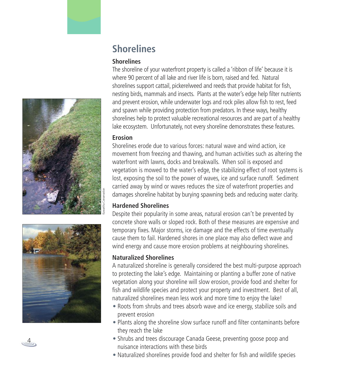



# **Shorelines**

#### **S h o r e l i n e s**

The shoreline of your waterfront property is called a 'ribbon of life' because it is where 90 percent of all lake and river life is born, raised and fed. Natural shorelines support cattail, pickerelweed and reeds that provide habitat for fish, nesting birds, mammals and insects. Plants at the water's edge help filter nutrients and prevent erosion, while underwater logs and rock piles allow fish to rest, feed and spawn while providing protection from predators. In these ways, healthy shorelines help to protect valuable recreational resources and are part of a healthy lake ecosystem. Unfortunately, not every shoreline demonstrates these features.

#### **E r o s i o n**

Shorelines erode due to various forces: natural wave and wind action, ice movement from freezing and thawing, and human activities such as altering the waterfront with lawns, docks and breakwalls. When soil is exposed and vegetation is mowed to the water's edge, the stabilizing effect of root systems is lost, exposing the soil to the power of waves, ice and surface runoff. Sediment carried away by wind or waves reduces the size of waterfront properties and damages shoreline habitat by burying spawning beds and reducing water clarity.

#### **Hardened Shorelines**

Despite their popularity in some areas, natural erosion can't be prevented by concrete shore walls or sloped rock. Both of these measures are expensive and temporary fixes. Major storms, ice damage and the effects of time eventually cause them to fail. Hardened shores in one place may also deflect wave and wind energy and cause more erosion problems at neighbouring shorelines.

#### **Naturalized Shorelines**

A naturalized shoreline is generally considered the best multi-purpose approach to protecting the lake's edge. Maintaining or planting a buffer zone of native vegetation along your shoreline will slow erosion, provide food and shelter for fish and wildlife species and protect your property and investment. Best of all, naturalized shorelines mean less work and more time to enjoy the lake!

- Roots from shrubs and trees absorb wave and ice energy, stabilize soils and prevent erosion
- Plants along the shoreline slow surface runoff and filter contaminants before they reach the lake
- Shrubs and trees discourage Canada Geese, preventing goose poop and nuisance interactions with these birds
- Naturalized shorelines provide food and shelter for fish and wildlife species

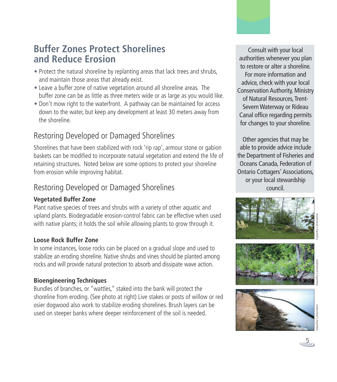## **Buffer Zones Protect Shorelines and Reduce Erosion**

- Protect the natural shoreline by replanting areas that lack trees and shrubs, and maintain those areas that already exist.
- Leave a buffer zone of native vegetation around all shoreline areas. The buffer zone can be as little as three meters wide or as large as you would like.
- Don't mow right to the waterfront. A pathway can be maintained for access down to the water, but keep any development at least 30 meters away from the shoreline.

## Restoring Developed or Damaged Shorelines

Shorelines that have been stabilized with rock 'rip rap', armour stone or gabion baskets can be modified to incorporate natural vegetation and extend the life of retaining structures. Noted below are some options to protect your shoreline from erosion while improving habitat.

## Restoring Developed or Damaged Shorelines

### **Vegetated Buffer Zone**

Plant native species of trees and shrubs with a variety of other aquatic and upland plants. Biodegradable erosion-control fabric can be effective when used with native plants; it holds the soil while allowing plants to grow through it.

#### **Loose Rock Buffer Zone**

In some instances, loose rocks can be placed on a gradual slope and used to stabilize an eroding shoreline. Native shrubs and vines should be planted among rocks and will provide natural protection to absorb and dissipate wave action.

#### **Bioengineering Techniques**

Bundles of branches, or "wattles," staked into the bank will protect the shoreline from eroding. (See photo at right) Live stakes or posts of willow or red osier dogwood also work to stabilize eroding shorelines. Brush layers can be used on steeper banks where deeper reinforcement of the soil is needed.

Consult with your local authorities whenever you plan to restore or alter a shoreline. For more information and advice, check with your local Conservation Authority, Ministry of Natural Resources, Trent-SevernWaterway or Rideau Canal office regarding permits for changes to your shoreline.

Other agencies that may be able to provide advice include the Department of Fisheries and Oceans Canada, Federation of Ontario Cottagers' Associations, or your local stewardship council.









5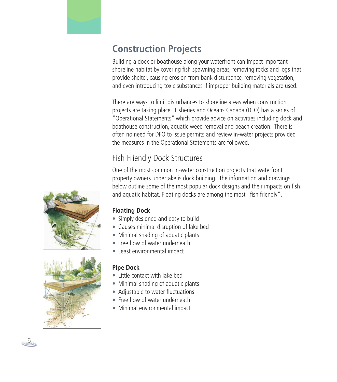

Building a dock or boathouse along your waterfront can impact important shoreline habitat by covering fish spawning areas, removing rocks and logs that provide shelter, causing erosion from bank disturbance, removing vegetation, and even introducing toxic substances if improper building materials are used.

There are ways to limit disturbances to shoreline areas when construction projects are taking place. Fisheries and Oceans Canada (DFO) has a series of "Operational Statements" which provide advice on activities including dock and boathouse construction, aquatic weed removal and beach creation. There is often no need for DFO to issue permits and review in-water projects provided the measures in the Operational Statements are followed.

## Fish Friendly Dock Structures

One of the most common in-water construction projects that waterfront property owners undertake is dock building. The information and drawings below outline some of the most popular dock designs and their impacts on fish and aquatic habitat. Floating docks are among the most "fish friendly".

#### **Floating Dock**

- Simply designed and easy to build
- Causes minimal disruption of lake bed
- Minimal shading of aquatic plants
- Free flow of water underneath
- Least environmental impact

#### **Pipe Dock**

- Little contact with lake bed
- Minimal shading of aquatic plants
- Adjustable to water fluctuations
- Free flow of water underneath
- Minimal environmental impact





6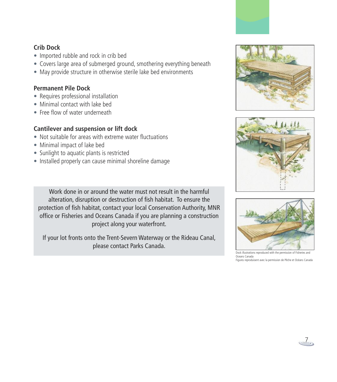#### **Crib Dock**

- Imported rubble and rock in crib bed
- Covers large area of submerged ground, smothering everything beneath
- May provide structure in otherwise sterile lake bed environments

## **Permanent Pile Dock**

- Requires professional installation
- Minimal contact with lake bed
- Free flow of water underneath

### **Cantilever and suspension or lift dock**

- Not suitable for areas with extreme water fluctuations
- Minimal impact of lake bed
- Sunlight to aquatic plants is restricted
- Installed properly can cause minimal shoreline damage

Work done in or around the water must not result in the harmful alteration, disruption or destruction of fish habitat. To ensure the protection of fish habitat, contact your local Conservation Authority, MNR office or Fisheries and Oceans Canada if you are planning a construction project along your waterfront.

If your lot fronts onto the Trent-Severn Waterway or the Rideau Canal, please contact Parks Canada.







Dock illustrations reproduced with the permission of Fisheries and Oceans Canada Figures reproduisent avec la permission de Pêche et Océans Canada

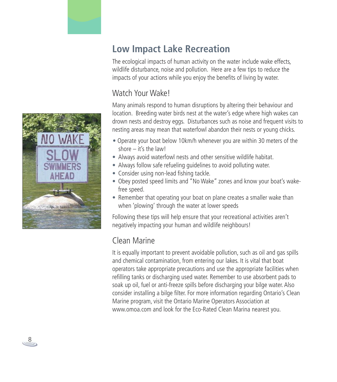

# **Low Impact Lake Recreation**

The ecological impacts of human activity on the water include wake effects, wildlife disturbance, noise and pollution. Here are a few tips to reduce the impacts of your actions while you enjoy the benefits of living by water.

## Watch Your Wake!

Many animals respond to human disruptions by altering their behaviour and location. Breeding water birds nest at the water's edge where high wakes can drown nests and destroy eggs. Disturbances such as noise and frequent visits to nesting areas may mean that waterfowl abandon their nests or young chicks.

- Operate your boat below 10km/h whenever you are within 30 meters of the shore – it's the law!
- Always avoid waterfowl nests and other sensitive wildlife habitat.
- Always follow safe refueling guidelines to avoid polluting water.
- Consider using non-lead fishing tackle.
- Obey posted speed limits and "No Wake" zones and know your boat's wakefree speed.
- Remember that operating your boat on plane creates a smaller wake than when 'plowing' through the water at lower speeds

Following these tips will help ensure that your recreational activities aren't negatively impacting your human and wildlife neighbours!

## Clean Marine

It is equally important to prevent avoidable pollution, such as oil and gas spills and chemical contamination, from entering our lakes. It is vital that boat operators take appropriate precautions and use the appropriate facilities when refilling tanks or discharging used water. Remember to use absorbent pads to soak up oil, fuel or anti-freeze spills before discharging your bilge water. Also consider installing a bilge filter. For more information regarding Ontario's Clean Marine program, visit the Ontario Marine Operators Association at www.omoa.com and look for the Eco-Rated Clean Marina nearest you.

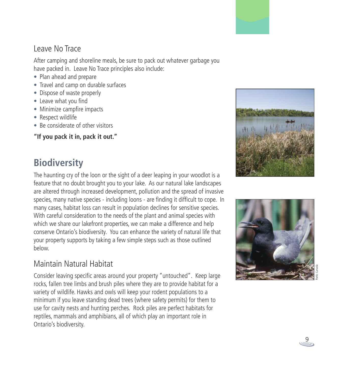## Leave No Trace

After camping and shoreline meals, be sure to pack out whatever garbage you have packed in. Leave No Trace principles also include:

- Plan ahead and prepare
- Travel and camp on durable surfaces
- Dispose of waste properly
- Leave what you find
- Minimize campfire impacts
- Respect wildlife
- Be considerate of other visitors

**"If you pack it in, pack it out."**

# **Biodiversity**

The haunting cry of the loon or the sight of a deer leaping in your woodlot is a feature that no doubt brought you to your lake. As our natural lake landscapes are altered through increased development, pollution and the spread of invasive species, many native species - including loons - are finding it difficult to cope. In many cases, habitat loss can result in population declines for sensitive species. With careful consideration to the needs of the plant and animal species with which we share our lakefront properties, we can make a difference and help conserve Ontario's biodiversity. You can enhance the variety of natural life that your property supports by taking a few simple steps such as those outlined below.

## Maintain Natural Habitat

Consider leaving specific areas around your property "untouched". Keep large rocks, fallen tree limbs and brush piles where they are to provide habitat for a variety of wildlife. Hawks and owls will keep your rodent populations to a minimum if you leave standing dead trees (where safety permits) for them to use for cavity nests and hunting perches. Rock piles are perfect habitats for reptiles, mammals and amphibians, all of which play an important role in Ontario's biodiversity.







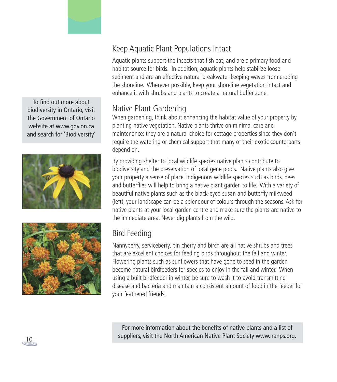To find out more about biodiversity in Ontario, visit the Government of Ontario website at www.gov.on.ca and search for 'Biodiversity'





## Keep Aquatic Plant Populations Intact

Aquatic plants support the insects that fish eat, and are a primary food and habitat source for birds. In addition, aquatic plants help stabilize loose sediment and are an effective natural breakwater keeping waves from eroding the shoreline. Wherever possible, keep your shoreline vegetation intact and enhance it with shrubs and plants to create a natural buffer zone.

## Native Plant Gardening

When gardening, think about enhancing the habitat value of your property by planting native vegetation. Native plants thrive on minimal care and maintenance: they are a natural choice for cottage properties since they don't require the watering or chemical support that many of their exotic counterparts depend on.

By providing shelter to local wildlife species native plants contribute to biodiversity and the preservation of local gene pools. Native plants also give your property a sense of place. Indigenous wildlife species such as birds, bees and butterflies will help to bring a native plant garden to life. With a variety of beautiful native plants such as the black-eyed susan and butterfly milkweed (left), your landscape can be a splendour of colours through the seasons. Ask for native plants at your local garden centre and make sure the plants are native to the immediate area. Never dig plants from the wild.

## Bird Feeding

Nannyberry, serviceberry, pin cherry and birch are all native shrubs and trees that are excellent choices for feeding birds throughout the fall and winter. Flowering plants such as sunflowers that have gone to seed in the garden become natural birdfeeders for species to enjoy in the fall and winter. When using a built birdfeeder in winter, be sure to wash it to avoid transmitting disease and bacteria and maintain a consistent amount of food in the feeder for your feathered friends.

For more information about the benefits of native plants and a list of suppliers, visit the North American Native Plant Society www.nanps.org.

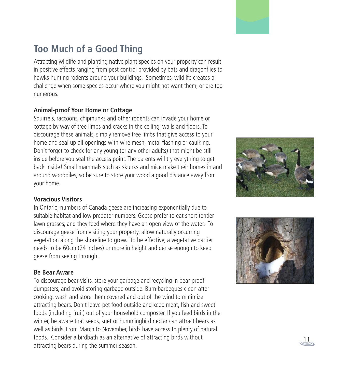# **Too Much of a Good Thing**

Attracting wildlife and planting native plant species on your property can result in positive effects ranging from pest control provided by bats and dragonflies to hawks hunting rodents around your buildings. Sometimes, wildlife creates a challenge when some species occur where you might not want them, or are too numerous.

#### **Animal-proof Your Home or Cottage**

Squirrels, raccoons, chipmunks and other rodents can invade your home or cottage by way of tree limbs and cracks in the ceiling, walls and floors. To discourage these animals, simply remove tree limbs that give access to your home and seal up all openings with wire mesh, metal flashing or caulking. Don't forget to check for any young (or any other adults) that might be still inside before you seal the access point. The parents will try everything to get back inside! Small mammals such as skunks and mice make their homes in and around woodpiles, so be sure to store your wood a good distance away from your home.

#### **Voracious Visitors**

In Ontario, numbers of Canada geese are increasing exponentially due to suitable habitat and low predator numbers. Geese prefer to eat short tender lawn grasses, and they feed where they have an open view of the water. To discourage geese from visiting your property, allow naturally occurring vegetation along the shoreline to grow. To be effective, a vegetative barrier needs to be 60cm (24 inches) or more in height and dense enough to keep geese from seeing through.

#### **Be Bear Aware**

To discourage bear visits, store your garbage and recycling in bear-proof dumpsters, and avoid storing garbage outside. Burn barbeques clean after cooking, wash and store them covered and out of the wind to minimize attracting bears. Don't leave pet food outside and keep meat, fish and sweet foods (including fruit) out of your household composter. If you feed birds in the winter, be aware that seeds, suet or hummingbird nectar can attract bears as well as birds. From March to November, birds have access to plenty of natural foods. Consider a birdbath as an alternative of attracting birds without attracting bears during the summer season.  $\frac{11}{2}$ 





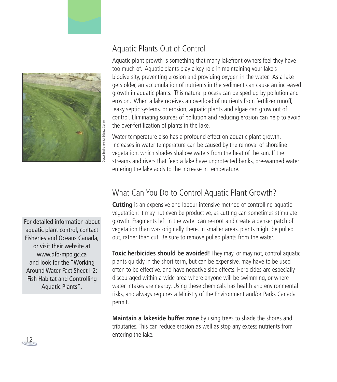

## Aquatic Plants Out of Control

Aquatic plant growth is something that many lakefront owners feel they have too much of. Aquatic plants play a key role in maintaining your lake's biodiversity, preventing erosion and providing oxygen in the water. As a lake gets older, an accumulation of nutrients in the sediment can cause an increased growth in aquatic plants. This natural process can be sped up by pollution and erosion. When a lake receives an overload of nutrients from fertilizer runoff, leaky septic systems, or erosion, aquatic plants and algae can grow out of control. Eliminating sources of pollution and reducing erosion can help to avoid the over-fertilization of plants in the lake.

Water temperature also has a profound effect on aquatic plant growth. Increases in water temperature can be caused by the removal of shoreline vegetation, which shades shallow waters from the heat of the sun. If the streams and rivers that feed a lake have unprotected banks, pre-warmed water entering the lake adds to the increase in temperature.

## What Can You Do to Control Aquatic Plant Growth?

**Cutting** is an expensive and labour intensive method of controlling aquatic vegetation; it may not even be productive, as cutting can sometimes stimulate growth. Fragments left in the water can re-root and create a denser patch of vegetation than was originally there. In smaller areas, plants might be pulled out, rather than cut. Be sure to remove pulled plants from the water.

**Toxic herbicides should be avoided!** They may, or may not, control aquatic plants quickly in the short term, but can be expensive, may have to be used often to be effective, and have negative side effects. Herbicides are especially discouraged within a wide area where anyone will be swimming, or where water intakes are nearby. Using these chemicals has health and environmental risks, and always requires a Ministry of the Environment and/or Parks Canada permit.

**Maintain a lakeside buffer zone** by using trees to shade the shores and tributaries. This can reduce erosion as well as stop any excess nutrients from entering the lake.

For detailed information about aquatic plant control, contact Fisheries and Oceans Canada, or visit their website at www.dfo-mpo.gc.ca and look for the "Working Around Water Fact Sheet I-2: Fish Habitat and Controlling Aquatic Plants".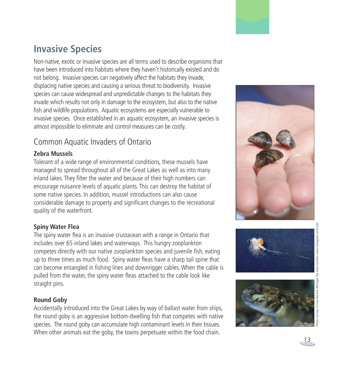# **lnvasive Species**

Non-native, exotic or invasive species are all terms used to describe organisms that have been introduced into habitats where they haven't historically existed and do not belong. Invasive species can negatively affect the habitats they invade, displacing native species and causing a serious threat to biodiversity. Invasive species can cause widespread and unpredictable changes to the habitats they invade which results not only in damage to the ecosystem, but also to the native fish and wildlife populations. Aquatic ecosystems are especially vulnerable to invasive species. Once established in an aquatic ecosystem, an invasive species is almost impossible to eliminate and control measures can be costly.

## Common Aquatic Invaders of Ontario

#### **Z e b r a M u s s e l s**

Tolerant of a wide range of environmental conditions, these mussels have managed to spread throughout all of the Great Lakes as well as into many inland lakes. They filter the water and because of their high numbers can encourage nuisance levels of aquatic plants. This can destroy the habitat of some native species. In addition, mussel introductions can also cause considerable damage to property and significant changes to the recreational quality of the waterfront.

#### **S p i n y Wa t e r F l e a**

The spiny water flea is an invasive crustacean with a range in Ontario that includes over 65 inland lakes and waterways. This hungry zooplankton competes directly with our native zooplankton species and juvenile fish, eating up to three times as much food. Spiny water fleas have a sharp tail spine that can become entangled in fishing lines and downrigger cables. When the cable is pulled from the water, the spiny water fleas attached to the cable look like straight pins.

#### **Round Goby**

Accidentally introduced into the Great Lakes by way of ballast water from ships, the round goby is an aggressive bottom-dwelling fish that competes with native species. The round goby can accumulate high contaminant levels in their tissues. When other animals eat the goby, the toxins perpetuate within the food chain.





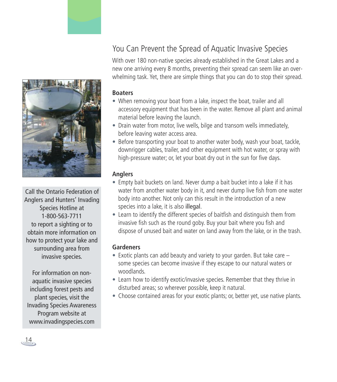## You Can Prevent the Spread of Aquatic Invasive Species

With over 180 non-native species already established in the Great Lakes and a new one arriving every 8 months, preventing their spread can seem like an overwhelming task. Yet, there are simple things that you can do to stop their spread.

#### **Boaters**

- When removing your boat from a lake, inspect the boat, trailer and all accessory equipment that has been in the water. Remove all plant and animal material before leaving the launch.
- Drain water from motor, live wells, bilge and transom wells immediately, before leaving water access area.
- Before transporting your boat to another water body, wash your boat, tackle, downrigger cables, trailer, and other equipment with hot water, or spray with high-pressure water; or, let your boat dry out in the sun for five days.

#### **Anglers**

- Empty bait buckets on land. Never dump a bait bucket into a lake if it has water from another water body in it, and never dump live fish from one water body into another. Not only can this result in the introduction of a new species into a lake, it is also illegal.
- Learn to identify the different species of baitfish and distinguish them from invasive fish such as the round goby. Buy your bait where you fish and dispose of unused bait and water on land away from the lake, or in the trash.

#### **Gardeners**

- Exotic plants can add beauty and variety to your garden. But take care  $$ some species can become invasive if they escape to our natural waters or woodlands.
- Learn how to identify exotic/invasive species. Remember that they thrive in disturbed areas; so wherever possible, keep it natural.
- Choose contained areas for your exotic plants; or, better yet, use native plants.



Call the Ontario Federation of Anglers and Hunters' Invading Species Hotline at 1-800-563-7711 to report a sighting or to obtain more information on how to protect your lake and surrounding area from invasive species.

For information on nonaquatic invasive species including forest pests and plant species, visit the Invading Species Awareness Program website at www.invadingspecies.com

14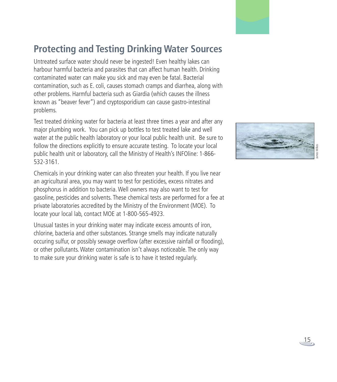# **Protecting and Testing Drinking Water Sources**

Untreated surface water should never be ingested! Even healthy lakes can harbour harmful bacteria and parasites that can affect human health. Drinking contaminated water can make you sick and may even be fatal. Bacterial contamination, such as E. coli, causes stomach cramps and diarrhea, along with other problems. Harmful bacteria such as Giardia (which causes the illness known as "beaver fever") and cryptosporidium can cause gastro-intestinal problems.

Test treated drinking water for bacteria at least three times a year and after any major plumbing work. You can pick up bottles to test treated lake and well water at the public health laboratory or your local public health unit. Be sure to follow the directions explicitly to ensure accurate testing. To locate your local public health unit or laboratory, call the Ministry of Health's INFOline: 1-866- 532-3161.

Chemicals in your drinking water can also threaten your health. If you live near an agricultural area, you may want to test for pesticides, excess nitrates and phosphorus in addition to bacteria.Well owners may also want to test for gasoline, pesticides and solvents. These chemical tests are performed for a fee at private laboratories accredited by the Ministry of the Environment (MOE). To locate your local lab, contact MOE at 1-800-565-4923.

Unusual tastes in your drinking water may indicate excess amounts of iron, chlorine, bacteria and other substances. Strange smells may indicate naturally occuring sulfur, or possibly sewage overflow (after excessive rainfall or flooding), or other pollutants.Water contamination isn't always noticeable. The only way to make sure your drinking water is safe is to have it tested regularly.

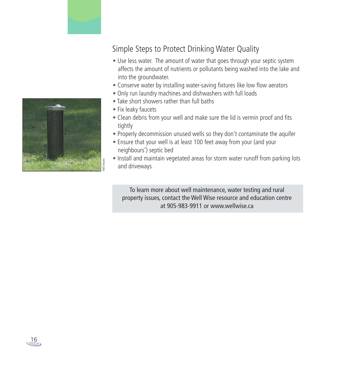

## Simple Steps to Protect Drinking Water Quality

- Use less water. The amount of water that goes through your septic system affects the amount of nutrients or pollutants being washed into the lake and into the groundwater.
- Conserve water by installing water-saving fixtures like low flow aerators
- Only run laundry machines and dishwashers with full loads
- Take short showers rather than full baths
- Fix leaky faucets
- Clean debris from your well and make sure the lid is vermin proof and fits tightly
- Properly decommission unused wells so they don't contaminate the aquifer
- Ensure that your well is at least 100 feet away from your (and your neighbours') septic bed
- Install and maintain vegetated areas for storm water runoff from parking lots and driveways

To learn more about well maintenance, water testing and rural property issues, contact the Well Wise resource and education centre at 905-983-9911 or www.wellwise.ca

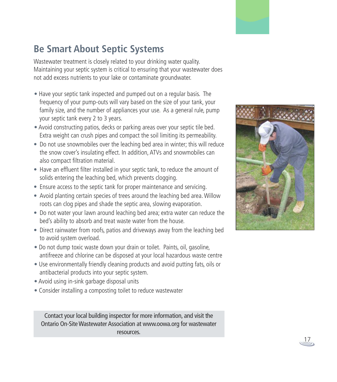# **Be Smart About Septic Systems**

Wastewater treatment is closely related to your drinking water quality. Maintaining your septic system is critical to ensuring that your wastewater does not add excess nutrients to your lake or contaminate groundwater.

- Have your septic tank inspected and pumped out on a regular basis. The frequency of your pump-outs will vary based on the size of your tank, your family size, and the number of appliances your use. As a general rule, pump your septic tank every 2 to 3 years.
- Avoid constructing patios, decks or parking areas over your septic tile bed. Extra weight can crush pipes and compact the soil limiting its permeability.
- Do not use snowmobiles over the leaching bed area in winter; this will reduce the snow cover's insulating effect. In addition, ATVs and snowmobiles can also compact filtration material.
- Have an effluent filter installed in your septic tank, to reduce the amount of solids entering the leaching bed, which prevents clogging.
- Ensure access to the septic tank for proper maintenance and servicing.
- Avoid planting certain species of trees around the leaching bed area.Willow roots can clog pipes and shade the septic area, slowing evaporation.
- Do not water your lawn around leaching bed area; extra water can reduce the bed's ability to absorb and treat waste water from the house.
- Direct rainwater from roofs, patios and driveways away from the leaching bed to avoid system overload.
- Do not dump toxic waste down your drain or toilet. Paints, oil, gasoline, antifreeze and chlorine can be disposed at your local hazardous waste centre
- Use environmentally friendly cleaning products and avoid putting fats, oils or antibacterial products into your septic system.
- Avoid using in-sink garbage disposal units
- Consider installing a composting toilet to reduce wastewater

Contact your local building inspector for more information, and visit the Ontario On-Site Wastewater Association at www.oowa.org for wastewater resources.



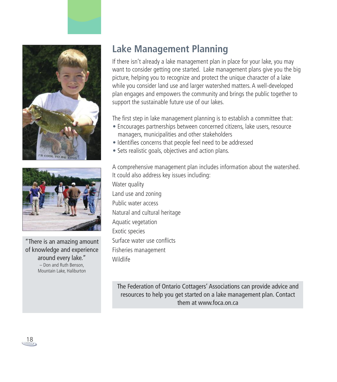



"There is an amazing amount of knowledge and experience around every lake." – Don and Ruth Benson, Mountain Lake, Haliburton

# **Lake Management Planning**

If there isn't already a lake management plan in place for your lake, you may want to consider getting one started. Lake management plans give you the big picture, helping you to recognize and protect the unique character of a lake while you consider land use and larger watershed matters. A well-developed plan engages and empowers the community and brings the public together to support the sustainable future use of our lakes.

The first step in lake management planning is to establish a committee that:

- Encourages partnerships between concerned citizens, lake users, resource managers, municipalities and other stakeholders
- Identifies concerns that people feel need to be addressed
- Sets realistic goals, objectives and action plans.

A comprehensive management plan includes information about the watershed. It could also address key issues including:

Water quality Land use and zoning Public water access Natural and cultural heritage Aquatic vegetation Exotic species Surface water use conflicts Fisheries management Wildlife

The Federation of Ontario Cottagers' Associations can provide advice and resources to help you get started on a lake management plan. Contact them at www.foca.on.ca

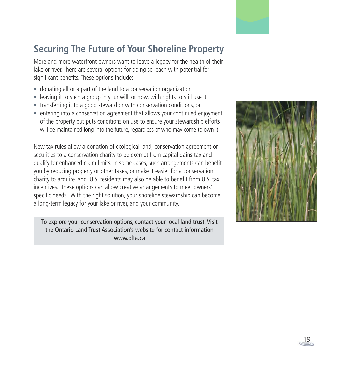# **Securing The Future of Your Shoreline Property**

More and more waterfront owners want to leave a legacy for the health of their lake or river. There are several options for doing so, each with potential for significant benefits. These options include:

- donating all or a part of the land to a conservation organization
- leaving it to such a group in your will, or now, with rights to still use it
- transferring it to a good steward or with conservation conditions, or
- entering into a conservation agreement that allows your continued enjoyment of the property but puts conditions on use to ensure your stewardship efforts will be maintained long into the future, regardless of who may come to own it.

New tax rules allow a donation of ecological land, conservation agreement or securities to a conservation charity to be exempt from capital gains tax and qualify for enhanced claim limits. In some cases, such arrangements can benefit you by reducing property or other taxes, or make it easier for a conservation charity to acquire land. U.S. residents may also be able to benefit from U.S. tax incentives. These options can allow creative arrangements to meet owners' specific needs. With the right solution, your shoreline stewardship can become a long-term legacy for your lake or river, and your community.

To explore your conservation options, contact your local land trust. Visit the Ontario Land Trust Association's website for contact information www.olta.ca



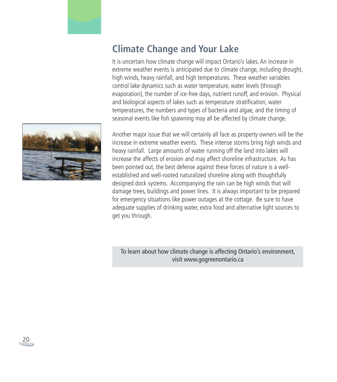## **Climate Change and Your Lake**

It is uncertain how climate change will impact Ontario's lakes. An increase in extreme weather events is anticipated due to climate change, including drought, high winds, heavy rainfall, and high temperatures. These weather variables control lake dynamics such as water temperature, water levels (through evaporation), the number of ice-free days, nutrient runoff, and erosion. Physical and biological aspects of lakes such as temperature stratification, water temperatures, the numbers and types of bacteria and algae, and the timing of seasonal events like fish spawning may all be affected by climate change.



Another major issue that we will certainly all face as property owners will be the increase in extreme weather events. These intense storms bring high winds and heavy rainfall. Large amounts of water running off the land into lakes will increase the affects of erosion and may affect shoreline infrastructure. As has been pointed out, the best defense against these forces of nature is a wellestablished and well-rooted naturalized shoreline along with thoughtfully designed dock systems. Accompanying the rain can be high winds that will damage trees, buildings and power lines. It is always important to be prepared for emergency situations like power outages at the cottage. Be sure to have adequate supplies of drinking water, extra food and alternative light sources to get you through.

To learn about how climate change is affecting Ontario's environment, visit www.gogreenontario.ca

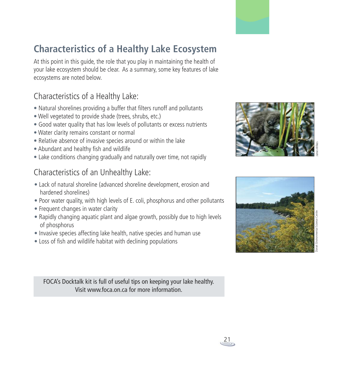# **Characteristics of a Healthy Lake Ecosystem**

At this point in this guide, the role that you play in maintaining the health of your lake ecosystem should be clear. As a summary, some key features of lake ecosystems are noted below.

## Characteristics of a Healthy Lake:

- Natural shorelines providing a buffer that filters runoff and pollutants
- Well vegetated to provide shade (trees, shrubs, etc.)
- Good water quality that has low levels of pollutants or excess nutrients
- Water clarity remains constant or normal
- Relative absence of invasive species around or within the lake
- Abundant and healthy fish and wildlife
- Lake conditions changing gradually and naturally over time, not rapidly

## Characteristics of an Unhealthy Lake:

- Lack of natural shoreline (advanced shoreline development, erosion and hardened shorelines)
- Poor water quality, with high levels of E. coli, phosphorus and other pollutants
- Frequent changes in water clarity
- Rapidly changing aquatic plant and algae growth, possibly due to high levels of phosphorus
- Invasive species affecting lake health, native species and human use
- Loss of fish and wildlife habitat with declining populations

FOCA's Docktalk kit is full of useful tips on keeping your lake healthy. Visit www.foca.on.ca for more information.







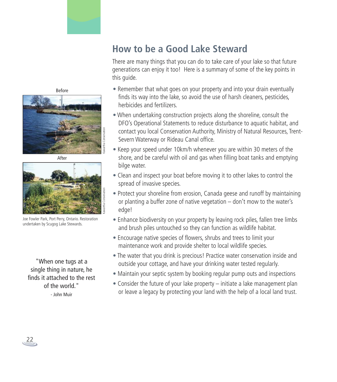## **How to be a Good Lake Steward**

There are many things that you can do to take care of your lake so that future generations can enjoy it too! Here is a summary of some of the key points in this guide.

- Remember that what goes on your property and into your drain eventually finds its way into the lake, so avoid the use of harsh cleaners, pesticides, herbicides and fertilizers.
- When undertaking construction projects along the shoreline, consult the DFO's Operational Statements to reduce disturbance to aquatic habitat, and contact you local Conservation Authority, Ministry of Natural Resources, Trent-Severn Waterway or Rideau Canal office.
- Keep your speed under 10km/h whenever you are within 30 meters of the shore, and be careful with oil and gas when filling boat tanks and emptying bilge water.
- Clean and inspect your boat before moving it to other lakes to control the spread of invasive species.
- Protect your shoreline from erosion, Canada geese and runoff by maintaining or planting a buffer zone of native vegetation – don't mow to the water's edge!
- Enhance biodiversity on your property by leaving rock piles, fallen tree limbs and brush piles untouched so they can function as wildlife habitat.
- Encourage native species of flowers, shrubs and trees to limit your maintenance work and provide shelter to local wildlife species.
- The water that you drink is precious! Practice water conservation inside and outside your cottage, and have your drinking water tested regularly.
- Maintain your septic system by booking regular pump outs and inspections
- Consider the future of your lake property initiate a lake management plan or leave a legacy by protecting your land with the help of a local land trust.





After



Joe Fowler Park, Port Perry, Ontario. Restoration undertaken by Scugog Lake Stewards.

"When one tugs at a single thing in nature, he finds it attached to the rest of the world." - John Muir

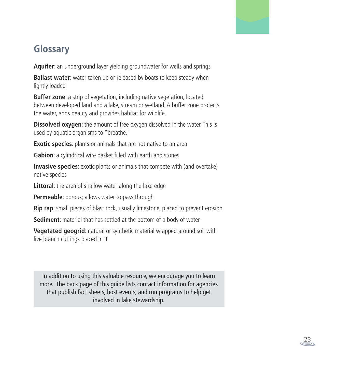

# **Glossary**

**Aquifer**: an underground layer yielding groundwater for wells and springs

**Ballast water**: water taken up or released by boats to keep steady when lightly loaded

**Buffer zone**: a strip of vegetation, including native vegetation, located between developed land and a lake, stream or wetland. A buffer zone protects the water, adds beauty and provides habitat for wildlife.

**Dissolved oxygen**: the amount of free oxygen dissolved in the water. This is used by aquatic organisms to "breathe."

**Exotic species**: plants or animals that are not native to an area

**Gabion**: a cylindrical wire basket filled with earth and stones

**Invasive species**: exotic plants or animals that compete with (and overtake) native species

**Littoral**: the area of shallow water along the lake edge

**Permeable**: porous; allows water to pass through

**Rip rap**: small pieces of blast rock, usually limestone, placed to prevent erosion

**Sediment**: material that has settled at the bottom of a body of water

**Vegetated geogrid**: natural or synthetic material wrapped around soil with live branch cuttings placed in it

In addition to using this valuable resource, we encourage you to learn more. The back page of this guide lists contact information for agencies that publish fact sheets, host events, and run programs to help get involved in lake stewardship.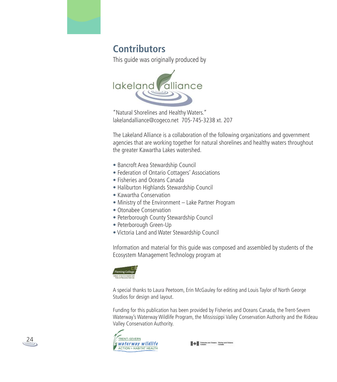

This guide was originally produced by



"Natural Shorelines and Healthy Waters." lakelandalliance@cogeco.net 705-745-3238 xt. 207

The Lakeland Alliance is a collaboration of the following organizations and government agencies that are working together for natural shorelines and healthy waters throughout the greater Kawartha Lakes watershed.

- Bancroft Area Stewardship Council
- Federation of Ontario Cottagers' Associations
- Fisheries and Oceans Canada
- Haliburton Highlands Stewardship Council
- Kawartha Conservation
- Ministry of the Environment Lake Partner Program
- Otonabee Conservation
- Peterborough County Stewardship Council
- Peterborough Green-Up
- Victoria Land and Water Stewardship Council

Information and material for this guide was composed and assembled by students of the Ecosystem Management Technology program at



A special thanks to Laura Peetoom, Erin McGauley for editing and Louis Taylor of North George Studios for design and layout.

Funding for this publication has been provided by Fisheries and Oceans Canada, the Trent-Severn Waterway's Waterway Wildlife Program, the Mississippi Valley Conservation Authority and the Rideau Valley Conservation Authority.





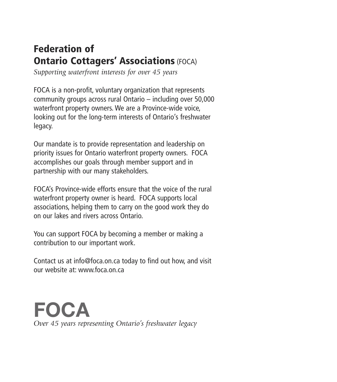# **Federation of Ontario Cottagers' Associations** (FOCA)

*Supporting waterfront interests for over 45 years*

FOCA is a non-profit, voluntary organization that represents community groups across rural Ontario – including over 50,000 waterfront property owners. We are a Province-wide voice, looking out for the long-term interests of Ontario's freshwater legacy.

Our mandate is to provide representation and leadership on priority issues for Ontario waterfront property owners. FOCA accomplishes our goals through member support and in partnership with our many stakeholders.

FOCA's Province-wide efforts ensure that the voice of the rural waterfront property owner is heard. FOCA supports local associations, helping them to carry on the good work they do on our lakes and rivers across Ontario.

You can support FOCA by becoming a member or making a contribution to our important work.

Contact us at info@foca.on.ca today to find out how, and visit our website at: www.foca.on.ca

**FOCA** *Over 45 years representing Ontario's freshwater legacy*